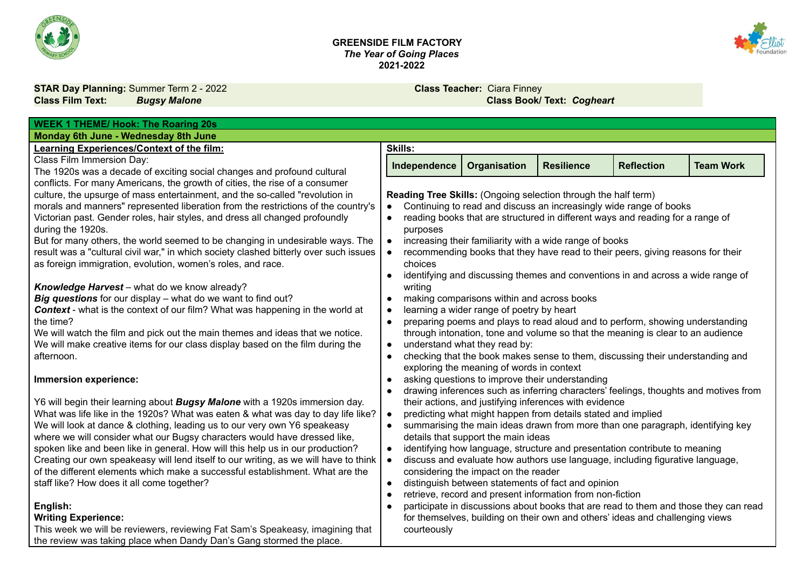

#### **GREENSIDE FILM FACTORY** *The Year of Going Places* **2021-2022**



**STAR Day Planning:** Summer Term 2 - 2022 **Class Teacher:** Ciara Finney

## **Class Film Text:** *Bugsy Malone* **Class Book/ Text:** *Cogheart*

| <b>WEEK 1 THEME/ Hook: The Roaring 20s</b>                                            |                                                                |                                                 |                                                              |                                                                                      |                  |
|---------------------------------------------------------------------------------------|----------------------------------------------------------------|-------------------------------------------------|--------------------------------------------------------------|--------------------------------------------------------------------------------------|------------------|
| Monday 6th June - Wednesday 8th June                                                  |                                                                |                                                 |                                                              |                                                                                      |                  |
| <b>Learning Experiences/Context of the film:</b>                                      | <b>Skills:</b>                                                 |                                                 |                                                              |                                                                                      |                  |
| Class Film Immersion Day:                                                             | Independence                                                   | <b>Organisation</b>                             | <b>Resilience</b>                                            | <b>Reflection</b>                                                                    | <b>Team Work</b> |
| The 1920s was a decade of exciting social changes and profound cultural               |                                                                |                                                 |                                                              |                                                                                      |                  |
| conflicts. For many Americans, the growth of cities, the rise of a consumer           |                                                                |                                                 |                                                              |                                                                                      |                  |
| culture, the upsurge of mass entertainment, and the so-called "revolution in          | Reading Tree Skills: (Ongoing selection through the half term) |                                                 |                                                              |                                                                                      |                  |
| morals and manners" represented liberation from the restrictions of the country's     | $\bullet$                                                      |                                                 |                                                              | Continuing to read and discuss an increasingly wide range of books                   |                  |
| Victorian past. Gender roles, hair styles, and dress all changed profoundly           | $\bullet$                                                      |                                                 |                                                              | reading books that are structured in different ways and reading for a range of       |                  |
| during the 1920s.                                                                     | purposes                                                       |                                                 |                                                              |                                                                                      |                  |
| But for many others, the world seemed to be changing in undesirable ways. The         | $\bullet$                                                      |                                                 | increasing their familiarity with a wide range of books      |                                                                                      |                  |
| result was a "cultural civil war," in which society clashed bitterly over such issues |                                                                |                                                 |                                                              | recommending books that they have read to their peers, giving reasons for their      |                  |
| as foreign immigration, evolution, women's roles, and race.                           | choices                                                        |                                                 |                                                              |                                                                                      |                  |
|                                                                                       | $\bullet$                                                      |                                                 |                                                              | identifying and discussing themes and conventions in and across a wide range of      |                  |
| Knowledge Harvest - what do we know already?                                          | writing                                                        |                                                 |                                                              |                                                                                      |                  |
| Big questions for our display - what do we want to find out?                          | $\bullet$                                                      | making comparisons within and across books      |                                                              |                                                                                      |                  |
| <b>Context</b> - what is the context of our film? What was happening in the world at  | $\bullet$                                                      | learning a wider range of poetry by heart       |                                                              |                                                                                      |                  |
| the time?                                                                             | $\bullet$                                                      |                                                 |                                                              | preparing poems and plays to read aloud and to perform, showing understanding        |                  |
| We will watch the film and pick out the main themes and ideas that we notice.         |                                                                |                                                 |                                                              | through intonation, tone and volume so that the meaning is clear to an audience      |                  |
| We will make creative items for our class display based on the film during the        | $\bullet$                                                      | understand what they read by:                   |                                                              |                                                                                      |                  |
| afternoon.                                                                            | $\bullet$                                                      |                                                 |                                                              | checking that the book makes sense to them, discussing their understanding and       |                  |
|                                                                                       |                                                                | exploring the meaning of words in context       |                                                              |                                                                                      |                  |
| Immersion experience:                                                                 | $\bullet$                                                      | asking questions to improve their understanding |                                                              |                                                                                      |                  |
| Y6 will begin their learning about <b>Bugsy Malone</b> with a 1920s immersion day.    | $\bullet$                                                      |                                                 | their actions, and justifying inferences with evidence       | drawing inferences such as inferring characters' feelings, thoughts and motives from |                  |
| What was life like in the 1920s? What was eaten & what was day to day life like?      | $\bullet$                                                      |                                                 | predicting what might happen from details stated and implied |                                                                                      |                  |
| We will look at dance & clothing, leading us to our very own Y6 speakeasy             |                                                                |                                                 |                                                              | summarising the main ideas drawn from more than one paragraph, identifying key       |                  |
| where we will consider what our Bugsy characters would have dressed like,             |                                                                | details that support the main ideas             |                                                              |                                                                                      |                  |
| spoken like and been like in general. How will this help us in our production?        | $\bullet$                                                      |                                                 |                                                              | identifying how language, structure and presentation contribute to meaning           |                  |
| Creating our own speakeasy will lend itself to our writing, as we will have to think  | $\bullet$                                                      |                                                 |                                                              | discuss and evaluate how authors use language, including figurative language,        |                  |
| of the different elements which make a successful establishment. What are the         |                                                                | considering the impact on the reader            |                                                              |                                                                                      |                  |
| staff like? How does it all come together?                                            | $\bullet$                                                      |                                                 | distinguish between statements of fact and opinion           |                                                                                      |                  |
|                                                                                       | $\bullet$                                                      |                                                 | retrieve, record and present information from non-fiction    |                                                                                      |                  |
| English:                                                                              |                                                                |                                                 |                                                              | participate in discussions about books that are read to them and those they can read |                  |
| <b>Writing Experience:</b>                                                            |                                                                |                                                 |                                                              | for themselves, building on their own and others' ideas and challenging views        |                  |
| This week we will be reviewers, reviewing Fat Sam's Speakeasy, imagining that         | courteously                                                    |                                                 |                                                              |                                                                                      |                  |
| the review was taking place when Dandy Dan's Gang stormed the place.                  |                                                                |                                                 |                                                              |                                                                                      |                  |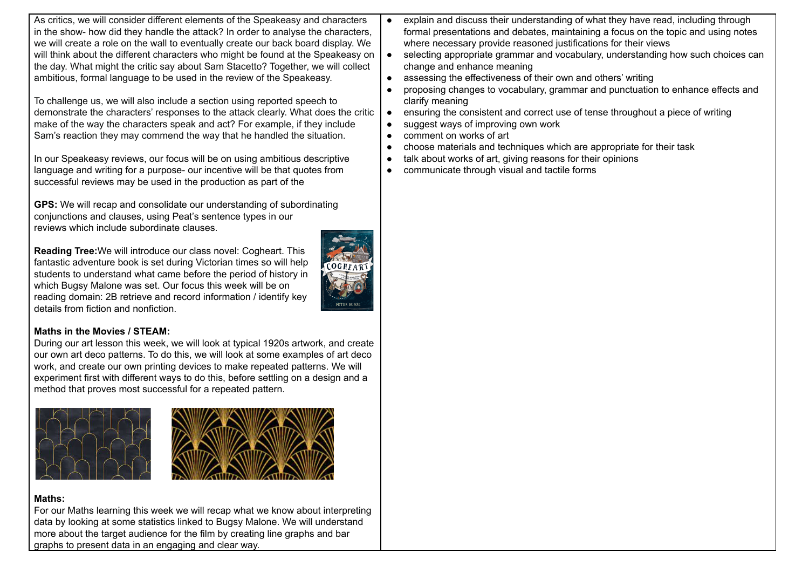| As critics, we will consider different elements of the Speakeasy and characters<br>explain and discuss their understanding of what they have read, including through<br>$\bullet$<br>in the show- how did they handle the attack? In order to analyse the characters,<br>formal presentations and debates, maintaining a focus on the topic and using notes<br>we will create a role on the wall to eventually create our back board display. We<br>where necessary provide reasoned justifications for their views                                                                                                                                                                                                                                                                                                                                                                                                                                                                                                                                                                                                                                                                                                                                                                                                                                                                                                                                                                                                                                                                                                                                                                                                                                                                                                                                                                                                                                                                                                                                                                                                                                                                                                                                                                                                                                                                                                                                                                                                                                                                                                    |
|------------------------------------------------------------------------------------------------------------------------------------------------------------------------------------------------------------------------------------------------------------------------------------------------------------------------------------------------------------------------------------------------------------------------------------------------------------------------------------------------------------------------------------------------------------------------------------------------------------------------------------------------------------------------------------------------------------------------------------------------------------------------------------------------------------------------------------------------------------------------------------------------------------------------------------------------------------------------------------------------------------------------------------------------------------------------------------------------------------------------------------------------------------------------------------------------------------------------------------------------------------------------------------------------------------------------------------------------------------------------------------------------------------------------------------------------------------------------------------------------------------------------------------------------------------------------------------------------------------------------------------------------------------------------------------------------------------------------------------------------------------------------------------------------------------------------------------------------------------------------------------------------------------------------------------------------------------------------------------------------------------------------------------------------------------------------------------------------------------------------------------------------------------------------------------------------------------------------------------------------------------------------------------------------------------------------------------------------------------------------------------------------------------------------------------------------------------------------------------------------------------------------------------------------------------------------------------------------------------------------|
| will think about the different characters who might be found at the Speakeasy on<br>selecting appropriate grammar and vocabulary, understanding how such choices can<br>$\bullet$<br>the day. What might the critic say about Sam Stacetto? Together, we will collect<br>change and enhance meaning<br>ambitious, formal language to be used in the review of the Speakeasy.<br>assessing the effectiveness of their own and others' writing<br>$\bullet$<br>proposing changes to vocabulary, grammar and punctuation to enhance effects and<br>$\bullet$<br>To challenge us, we will also include a section using reported speech to<br>clarify meaning<br>demonstrate the characters' responses to the attack clearly. What does the critic<br>ensuring the consistent and correct use of tense throughout a piece of writing<br>$\bullet$<br>make of the way the characters speak and act? For example, if they include<br>suggest ways of improving own work<br>$\bullet$<br>Sam's reaction they may commend the way that he handled the situation.<br>comment on works of art<br>$\bullet$<br>choose materials and techniques which are appropriate for their task<br>$\bullet$<br>In our Speakeasy reviews, our focus will be on using ambitious descriptive<br>talk about works of art, giving reasons for their opinions<br>$\bullet$<br>language and writing for a purpose- our incentive will be that quotes from<br>communicate through visual and tactile forms<br>$\bullet$<br>successful reviews may be used in the production as part of the<br>GPS: We will recap and consolidate our understanding of subordinating<br>conjunctions and clauses, using Peat's sentence types in our<br>reviews which include subordinate clauses.<br>Reading Tree: We will introduce our class novel: Cogheart. This<br>fantastic adventure book is set during Victorian times so will help<br>students to understand what came before the period of history in<br>which Bugsy Malone was set. Our focus this week will be on<br>reading domain: 2B retrieve and record information / identify key<br><b>PETER BUNZI</b><br>details from fiction and nonfiction.<br><b>Maths in the Movies / STEAM:</b><br>During our art lesson this week, we will look at typical 1920s artwork, and create<br>our own art deco patterns. To do this, we will look at some examples of art deco<br>work, and create our own printing devices to make repeated patterns. We will<br>experiment first with different ways to do this, before settling on a design and a<br>method that proves most successful for a repeated pattern. |

## **Maths:**

For our Maths learning this week we will recap what we know about interpreting data by looking at some statistics linked to Bugsy Malone. We will understand more about the target audience for the film by creating line graphs and bar graphs to present data in an engaging and clear way.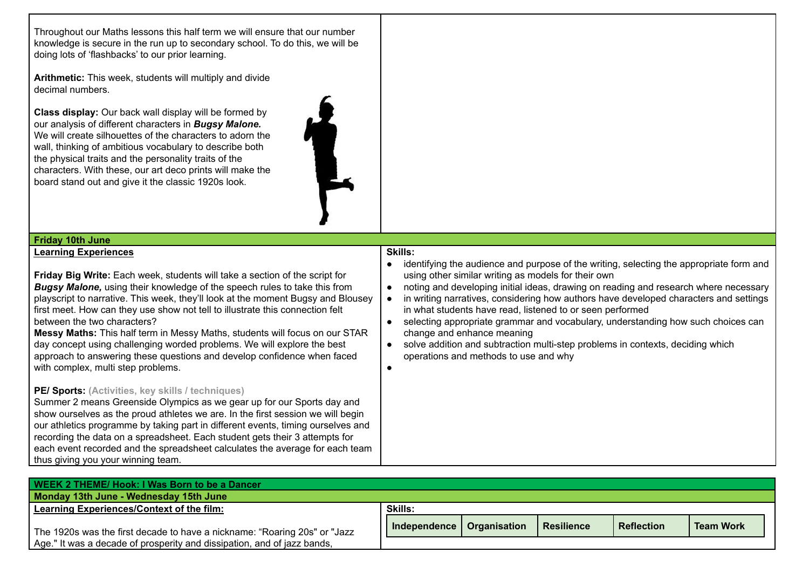Throughout our Maths lessons this half term we will ensure that our number knowledge is secure in the run up to secondary school. To do this, we will be doing lots of 'flashbacks' to our prior learning.

each event recorded and the spreadsheet calculates the average for each team

thus giving you your winning team.

**Arithmetic:** This week, students will multiply and divide decimal numbers.

**Class display:** Our back wall display will be formed by our analysis of different characters in *Bugsy Malone.* We will create silhouettes of the characters to adorn the wall, thinking of ambitious vocabulary to describe both the physical traits and the personality traits of the characters. With these, our art deco prints will make the board stand out and give it the classic 1920s look.



#### **Friday 10th June Learning Experiences Friday Big Write:** Each week, students will take a section of the script for *Bugsy Malone,* using their knowledge of the speech rules to take this from playscript to narrative. This week, they'll look at the moment Bugsy and Blousey first meet. How can they use show not tell to illustrate this connection felt between the two characters? **Messy Maths:** This half term in Messy Maths, students will focus on our STAR day concept using challenging worded problems. We will explore the best approach to answering these questions and develop confidence when faced with complex, multi step problems. **PE/ Sports: (Activities, key skills / techniques)** Summer 2 means Greenside Olympics as we gear up for our Sports day and show ourselves as the proud athletes we are. In the first session we will begin our athletics programme by taking part in different events, timing ourselves and recording the data on a spreadsheet. Each student gets their 3 attempts for **Skills:** • identifying the audience and purpose of the writing, selecting the appropriate form and using other similar writing as models for their own ● noting and developing initial ideas, drawing on reading and research where necessary ● in writing narratives, considering how authors have developed characters and settings in what students have read, listened to or seen performed ● selecting appropriate grammar and vocabulary, understanding how such choices can change and enhance meaning ● solve addition and subtraction multi-step problems in contexts, deciding which operations and methods to use and why  $\bullet$

| WEEK 2 THEME/ Hook: I Was Born to be a Dancer                             |                                                                        |                  |  |  |
|---------------------------------------------------------------------------|------------------------------------------------------------------------|------------------|--|--|
| Monday 13th June - Wednesday 15th June                                    |                                                                        |                  |  |  |
| Learning Experiences/Context of the film:                                 | <b>Skills:</b>                                                         |                  |  |  |
| The 1920s was the first decade to have a nickname: "Roaring 20s" or "Jazz | <b>Resilience</b><br><b>Reflection</b><br>Organisation<br>Independence | <b>Team Work</b> |  |  |
| Age." It was a decade of prosperity and dissipation, and of jazz bands,   |                                                                        |                  |  |  |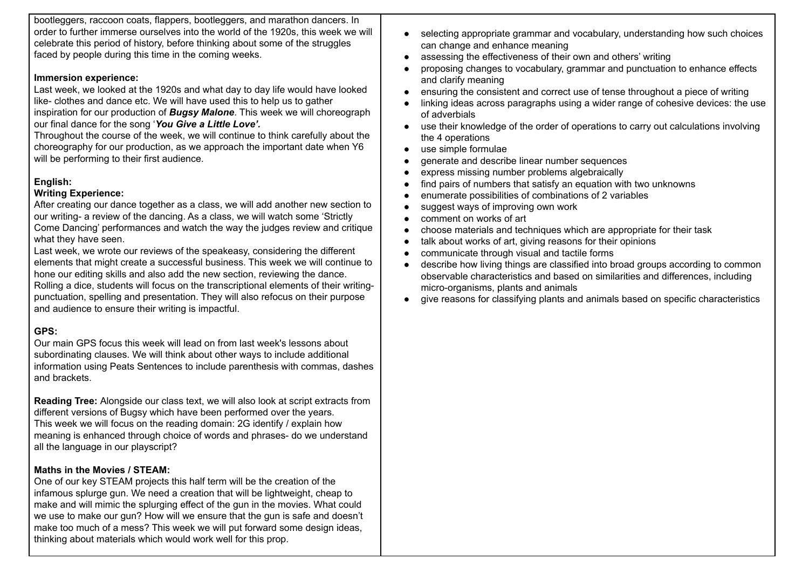bootleggers, raccoon coats, flappers, bootleggers, and marathon dancers. In order to further immerse ourselves into the world of the 1920s, this week we will celebrate this period of history, before thinking about some of the struggles faced by people during this time in the coming weeks.

## **Immersion experience:**

Last week, we looked at the 1920s and what day to day life would have looked like- clothes and dance etc. We will have used this to help us to gather inspiration for our production of *Bugsy Malone*. This week we will choreograph our final dance for the song '*You Give a Little Love'.*

Throughout the course of the week, we will continue to think carefully about the choreography for our production, as we approach the important date when Y6 will be performing to their first audience.

## **English:**

## **Writing Experience:**

After creating our dance together as a class, we will add another new section to our writing- a review of the dancing. As a class, we will watch some 'Strictly Come Dancing' performances and watch the way the judges review and critique what they have seen.

Last week, we wrote our reviews of the speakeasy, considering the different elements that might create a successful business. This week we will continue to hone our editing skills and also add the new section, reviewing the dance.

Rolling a dice, students will focus on the transcriptional elements of their writingpunctuation, spelling and presentation. They will also refocus on their purpose and audience to ensure their writing is impactful.

# **GPS:**

Our main GPS focus this week will lead on from last week's lessons about subordinating clauses. We will think about other ways to include additional information using Peats Sentences to include parenthesis with commas, dashes and brackets.

**Reading Tree:** Alongside our class text, we will also look at script extracts from different versions of Bugsy which have been performed over the years. This week we will focus on the reading domain: 2G identify / explain how meaning is enhanced through choice of words and phrases- do we understand all the language in our playscript?

## **Maths in the Movies / STEAM:**

One of our key STEAM projects this half term will be the creation of the infamous splurge gun. We need a creation that will be lightweight, cheap to make and will mimic the splurging effect of the gun in the movies. What could we use to make our gun? How will we ensure that the gun is safe and doesn't make too much of a mess? This week we will put forward some design ideas, thinking about materials which would work well for this prop.

- selecting appropriate grammar and vocabulary, understanding how such choices can change and enhance meaning
- assessing the effectiveness of their own and others' writing
- proposing changes to vocabulary, grammar and punctuation to enhance effects and clarify meaning
- ensuring the consistent and correct use of tense throughout a piece of writing
- linking ideas across paragraphs using a wider range of cohesive devices: the use of adverbials
- use their knowledge of the order of operations to carry out calculations involving the 4 operations
- use simple formulae
- generate and describe linear number sequences
- express missing number problems algebraically
- find pairs of numbers that satisfy an equation with two unknowns
- enumerate possibilities of combinations of 2 variables
- suggest ways of improving own work
- comment on works of art
- choose materials and techniques which are appropriate for their task
- talk about works of art, giving reasons for their opinions
- communicate through visual and tactile forms
- describe how living things are classified into broad groups according to common observable characteristics and based on similarities and differences, including micro-organisms, plants and animals
- give reasons for classifying plants and animals based on specific characteristics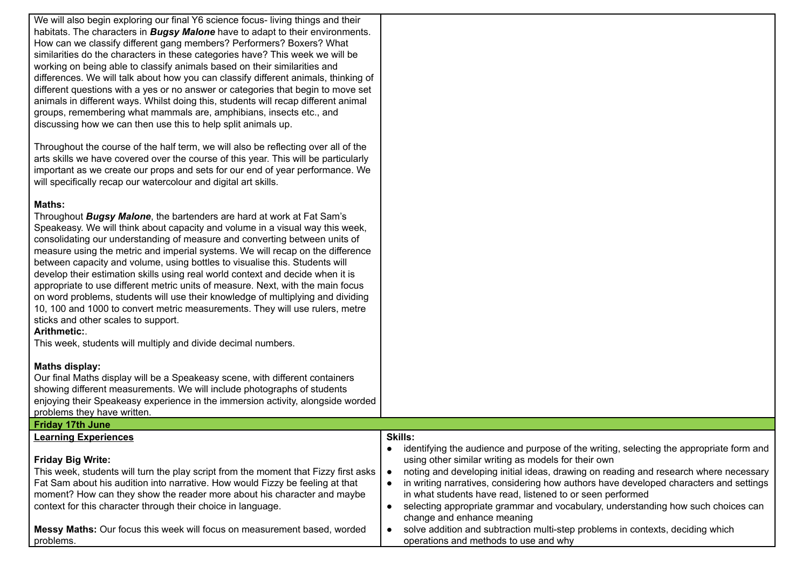We will also begin exploring our final Y6 science focus- living things and their habitats. The characters in *Bugsy Malone* have to adapt to their environments. How can we classify different gang members? Performers? Boxers? What similarities do the characters in these categories have? This week we will be working on being able to classify animals based on their similarities and differences. We will talk about how you can classify different animals, thinking of different questions with a yes or no answer or categories that begin to move set animals in different ways. Whilst doing this, students will recap different animal groups, remembering what mammals are, amphibians, insects etc., and discussing how we can then use this to help split animals up.

Throughout the course of the half term, we will also be reflecting over all of the arts skills we have covered over the course of this year. This will be particularly important as we create our props and sets for our end of year performance. We will specifically recap our watercolour and digital art skills.

#### **Maths:**

Throughout *Bugsy Malone*, the bartenders are hard at work at Fat Sam's Speakeasy. We will think about capacity and volume in a visual way this week, consolidating our understanding of measure and converting between units of measure using the metric and imperial systems. We will recap on the difference between capacity and volume, using bottles to visualise this. Students will develop their estimation skills using real world context and decide when it is appropriate to use different metric units of measure. Next, with the main focus on word problems, students will use their knowledge of multiplying and dividing 10, 100 and 1000 to convert metric measurements. They will use rulers, metre sticks and other scales to support.

#### **Arithmetic:**.

This week, students will multiply and divide decimal numbers.

## **Maths display:**

Our final Maths display will be a Speakeasy scene, with different containers showing different measurements. We will include photographs of students enjoying their Speakeasy experience in the immersion activity, alongside worded problems they have written.

| <b>Friday 17th June</b>                                                                                                                                  |                                                                                                                                                    |
|----------------------------------------------------------------------------------------------------------------------------------------------------------|----------------------------------------------------------------------------------------------------------------------------------------------------|
| <b>Learning Experiences</b>                                                                                                                              | <b>Skills:</b>                                                                                                                                     |
| <b>Friday Big Write:</b>                                                                                                                                 | identifying the audience and purpose of the writing, selecting the appropriate form and<br>using other similar writing as models for their own     |
| This week, students will turn the play script from the moment that Fizzy first asks                                                                      | noting and developing initial ideas, drawing on reading and research where necessary                                                               |
| Fat Sam about his audition into narrative. How would Fizzy be feeling at that<br>moment? How can they show the reader more about his character and maybe | in writing narratives, considering how authors have developed characters and settings<br>in what students have read, listened to or seen performed |
| context for this character through their choice in language.                                                                                             | selecting appropriate grammar and vocabulary, understanding how such choices can<br>change and enhance meaning                                     |
| Messy Maths: Our focus this week will focus on measurement based, worded<br>problems.                                                                    | solve addition and subtraction multi-step problems in contexts, deciding which<br>operations and methods to use and why                            |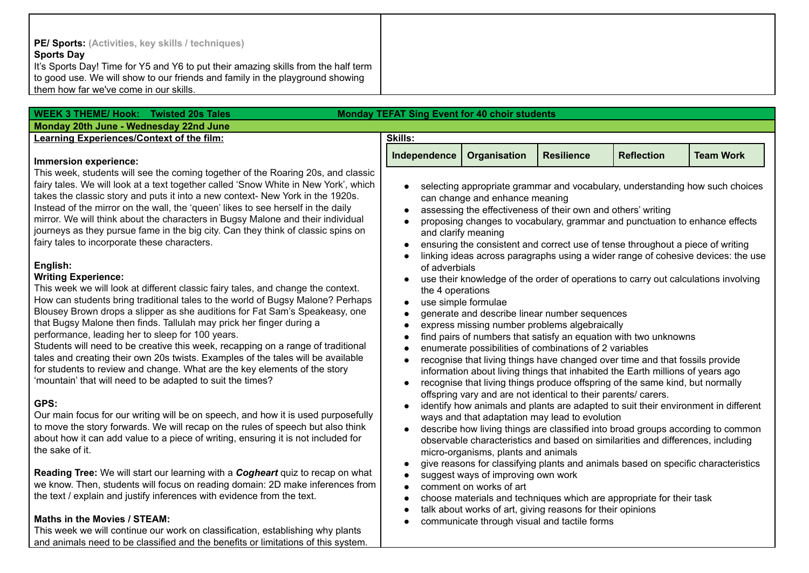| <b>PE/ Sports:</b> (Activities, key skills / techniques)                           |
|------------------------------------------------------------------------------------|
| <b>Sports Day</b>                                                                  |
| It's Sports Day! Time for Y5 and Y6 to put their amazing skills from the half term |
| to good use. We will show to our friends and family in the playground showing      |
| them how far we've come in our skills.                                             |

 $\mathbf{I}$ 

| <b>WEEK 3 THEME/ Hook: Twisted 20s Tales</b>                                                                                                                                                                                                                                                                                                                                                                                                                                                                                                                                                                                                                                                                                               | <b>Monday TEFAT Sing Event for 40 choir students</b>                                                                                                                                                                 |                                                                                                                                                                                                                                                                                                                                                                                                           |                                                                                                                  |                                                                                                                                                                                                                                                                                                                                               |                  |
|--------------------------------------------------------------------------------------------------------------------------------------------------------------------------------------------------------------------------------------------------------------------------------------------------------------------------------------------------------------------------------------------------------------------------------------------------------------------------------------------------------------------------------------------------------------------------------------------------------------------------------------------------------------------------------------------------------------------------------------------|----------------------------------------------------------------------------------------------------------------------------------------------------------------------------------------------------------------------|-----------------------------------------------------------------------------------------------------------------------------------------------------------------------------------------------------------------------------------------------------------------------------------------------------------------------------------------------------------------------------------------------------------|------------------------------------------------------------------------------------------------------------------|-----------------------------------------------------------------------------------------------------------------------------------------------------------------------------------------------------------------------------------------------------------------------------------------------------------------------------------------------|------------------|
| Monday 20th June - Wednesday 22nd June                                                                                                                                                                                                                                                                                                                                                                                                                                                                                                                                                                                                                                                                                                     |                                                                                                                                                                                                                      |                                                                                                                                                                                                                                                                                                                                                                                                           |                                                                                                                  |                                                                                                                                                                                                                                                                                                                                               |                  |
| Learning Experiences/Context of the film:                                                                                                                                                                                                                                                                                                                                                                                                                                                                                                                                                                                                                                                                                                  | <b>Skills:</b>                                                                                                                                                                                                       |                                                                                                                                                                                                                                                                                                                                                                                                           |                                                                                                                  |                                                                                                                                                                                                                                                                                                                                               |                  |
| Immersion experience:                                                                                                                                                                                                                                                                                                                                                                                                                                                                                                                                                                                                                                                                                                                      | Independence                                                                                                                                                                                                         | Organisation                                                                                                                                                                                                                                                                                                                                                                                              | <b>Resilience</b>                                                                                                | <b>Reflection</b>                                                                                                                                                                                                                                                                                                                             | <b>Team Work</b> |
| This week, students will see the coming together of the Roaring 20s, and classic<br>fairy tales. We will look at a text together called 'Snow White in New York', which<br>takes the classic story and puts it into a new context- New York in the 1920s.<br>Instead of the mirror on the wall, the 'queen' likes to see herself in the daily<br>mirror. We will think about the characters in Bugsy Malone and their individual<br>journeys as they pursue fame in the big city. Can they think of classic spins on<br>fairy tales to incorporate these characters.                                                                                                                                                                       |                                                                                                                                                                                                                      | can change and enhance meaning<br>and clarify meaning                                                                                                                                                                                                                                                                                                                                                     | assessing the effectiveness of their own and others' writing                                                     | selecting appropriate grammar and vocabulary, understanding how such choices<br>proposing changes to vocabulary, grammar and punctuation to enhance effects<br>ensuring the consistent and correct use of tense throughout a piece of writing<br>linking ideas across paragraphs using a wider range of cohesive devices: the use             |                  |
| English:<br><b>Writing Experience:</b><br>This week we will look at different classic fairy tales, and change the context.<br>How can students bring traditional tales to the world of Bugsy Malone? Perhaps<br>Blousey Brown drops a slipper as she auditions for Fat Sam's Speakeasy, one<br>that Bugsy Malone then finds. Tallulah may prick her finger during a<br>performance, leading her to sleep for 100 years.<br>Students will need to be creative this week, recapping on a range of traditional<br>tales and creating their own 20s twists. Examples of the tales will be available<br>for students to review and change. What are the key elements of the story<br>'mountain' that will need to be adapted to suit the times? | of adverbials<br>the 4 operations<br>use simple formulae<br>generate and describe linear number sequences<br>express missing number problems algebraically<br>enumerate possibilities of combinations of 2 variables | use their knowledge of the order of operations to carry out calculations involving<br>find pairs of numbers that satisfy an equation with two unknowns<br>recognise that living things have changed over time and that fossils provide<br>information about living things that inhabited the Earth millions of years ago<br>recognise that living things produce offspring of the same kind, but normally |                                                                                                                  |                                                                                                                                                                                                                                                                                                                                               |                  |
| GPS:<br>Our main focus for our writing will be on speech, and how it is used purposefully<br>to move the story forwards. We will recap on the rules of speech but also think<br>about how it can add value to a piece of writing, ensuring it is not included for<br>the sake of it.                                                                                                                                                                                                                                                                                                                                                                                                                                                       |                                                                                                                                                                                                                      | micro-organisms, plants and animals                                                                                                                                                                                                                                                                                                                                                                       | offspring vary and are not identical to their parents/ carers.<br>ways and that adaptation may lead to evolution | identify how animals and plants are adapted to suit their environment in different<br>describe how living things are classified into broad groups according to common<br>observable characteristics and based on similarities and differences, including<br>give reasons for classifying plants and animals based on specific characteristics |                  |
| Reading Tree: We will start our learning with a Cogheart quiz to recap on what<br>we know. Then, students will focus on reading domain: 2D make inferences from<br>the text / explain and justify inferences with evidence from the text.                                                                                                                                                                                                                                                                                                                                                                                                                                                                                                  |                                                                                                                                                                                                                      | suggest ways of improving own work<br>comment on works of art                                                                                                                                                                                                                                                                                                                                             | talk about works of art, giving reasons for their opinions                                                       | choose materials and techniques which are appropriate for their task                                                                                                                                                                                                                                                                          |                  |
| Maths in the Movies / STEAM:<br>This week we will continue our work on classification, establishing why plants                                                                                                                                                                                                                                                                                                                                                                                                                                                                                                                                                                                                                             |                                                                                                                                                                                                                      |                                                                                                                                                                                                                                                                                                                                                                                                           | communicate through visual and tactile forms                                                                     |                                                                                                                                                                                                                                                                                                                                               |                  |

and animals need to be classified and the benefits or limitations of this system.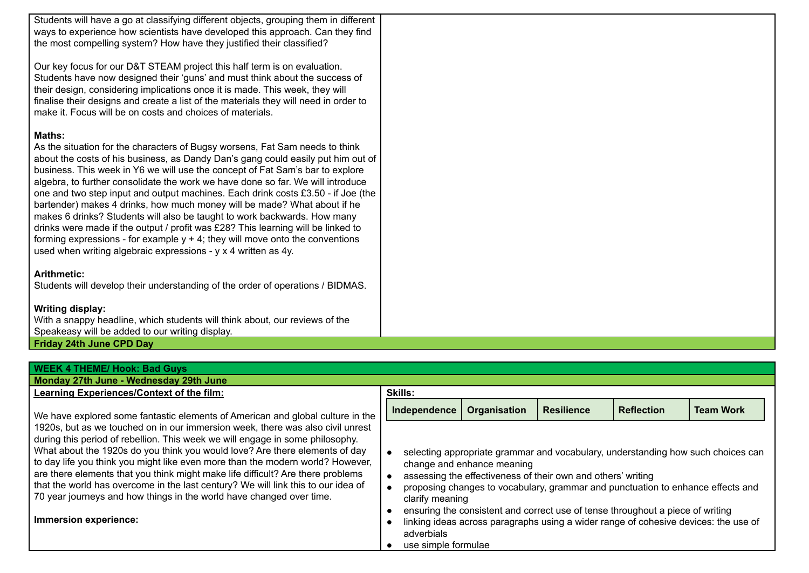Students will have a go at classifying different objects, grouping them in different ways to experience how scientists have developed this approach. Can they find the most compelling system? How have they justified their classified?

Our key focus for our D&T STEAM project this half term is on evaluation. Students have now designed their 'guns' and must think about the success of their design, considering implications once it is made. This week, they will finalise their designs and create a list of the materials they will need in order to make it. Focus will be on costs and choices of materials.

#### **Maths:**

As the situation for the characters of Bugsy worsens, Fat Sam needs to think about the costs of his business, as Dandy Dan's gang could easily put him out of business. This week in Y6 we will use the concept of Fat Sam's bar to explore algebra, to further consolidate the work we have done so far. We will introduce one and two step input and output machines. Each drink costs £3.50 - if Joe (the bartender) makes 4 drinks, how much money will be made? What about if he makes 6 drinks? Students will also be taught to work backwards. How many drinks were made if the output / profit was £28? This learning will be linked to forming expressions - for example  $y + 4$ ; they will move onto the conventions used when writing algebraic expressions - y x 4 written as 4y.

#### **Arithmetic:**

Students will develop their understanding of the order of operations / BIDMAS.

## **Writing display:**

With a snappy headline, which students will think about, our reviews of the Speakeasy will be added to our writing display.

#### **Friday 24th June CPD Day**

| <b>WEEK 4 THEME/ Hook: Bad Guys</b>                                                                                                                                                                                                                                                                                                                                                                                                                                                                                                                                                                       |                                                      |                            |                                                              |                                                                                                                                                                                                                                                          |                                                                                  |
|-----------------------------------------------------------------------------------------------------------------------------------------------------------------------------------------------------------------------------------------------------------------------------------------------------------------------------------------------------------------------------------------------------------------------------------------------------------------------------------------------------------------------------------------------------------------------------------------------------------|------------------------------------------------------|----------------------------|--------------------------------------------------------------|----------------------------------------------------------------------------------------------------------------------------------------------------------------------------------------------------------------------------------------------------------|----------------------------------------------------------------------------------|
| Monday 27th June - Wednesday 29th June                                                                                                                                                                                                                                                                                                                                                                                                                                                                                                                                                                    |                                                      |                            |                                                              |                                                                                                                                                                                                                                                          |                                                                                  |
| Learning Experiences/Context of the film:                                                                                                                                                                                                                                                                                                                                                                                                                                                                                                                                                                 | <b>Skills:</b>                                       |                            |                                                              |                                                                                                                                                                                                                                                          |                                                                                  |
| We have explored some fantastic elements of American and global culture in the                                                                                                                                                                                                                                                                                                                                                                                                                                                                                                                            | Independence                                         | Organisation               | <b>Resilience</b>                                            | <b>Reflection</b>                                                                                                                                                                                                                                        | <b>Team Work</b>                                                                 |
| 1920s, but as we touched on in our immersion week, there was also civil unrest<br>during this period of rebellion. This week we will engage in some philosophy.<br>What about the 1920s do you think you would love? Are there elements of day<br>to day life you think you might like even more than the modern world? However,<br>are there elements that you think might make life difficult? Are there problems<br>that the world has overcome in the last century? We will link this to our idea of<br>70 year journeys and how things in the world have changed over time.<br>Immersion experience: | clarify meaning<br>adverbials<br>use simple formulae | change and enhance meaning | assessing the effectiveness of their own and others' writing | proposing changes to vocabulary, grammar and punctuation to enhance effects and<br>ensuring the consistent and correct use of tense throughout a piece of writing<br>linking ideas across paragraphs using a wider range of cohesive devices: the use of | selecting appropriate grammar and vocabulary, understanding how such choices can |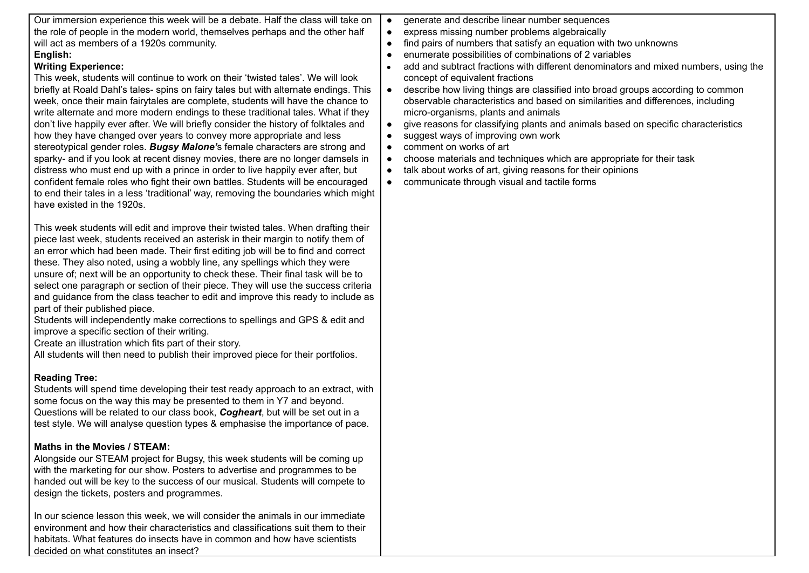| Our immersion experience this week will be a debate. Half the class will take on<br>the role of people in the modern world, themselves perhaps and the other half<br>will act as members of a 1920s community.<br>English:<br><b>Writing Experience:</b><br>This week, students will continue to work on their 'twisted tales'. We will look<br>briefly at Roald Dahl's tales- spins on fairy tales but with alternate endings. This<br>week, once their main fairytales are complete, students will have the chance to<br>write alternate and more modern endings to these traditional tales. What if they<br>don't live happily ever after. We will briefly consider the history of folktales and<br>how they have changed over years to convey more appropriate and less<br>stereotypical gender roles. Bugsy Malone's female characters are strong and<br>sparky- and if you look at recent disney movies, there are no longer damsels in<br>distress who must end up with a prince in order to live happily ever after, but<br>confident female roles who fight their own battles. Students will be encouraged<br>to end their tales in a less 'traditional' way, removing the boundaries which might<br>have existed in the 1920s. | $\bullet$<br>$\bullet$<br>$\bullet$<br>$\bullet$<br>$\bullet$<br>$\bullet$<br>$\bullet$<br>$\bullet$<br>$\bullet$<br>$\bullet$ | generate and describe linear number sequences<br>express missing number problems algebraically<br>find pairs of numbers that satisfy an equation with two unknowns<br>enumerate possibilities of combinations of 2 variables<br>add and subtract fractions with different denominators and mixed numbers, using the<br>concept of equivalent fractions<br>describe how living things are classified into broad groups according to common<br>observable characteristics and based on similarities and differences, including<br>micro-organisms, plants and animals<br>give reasons for classifying plants and animals based on specific characteristics<br>suggest ways of improving own work<br>comment on works of art<br>choose materials and techniques which are appropriate for their task<br>talk about works of art, giving reasons for their opinions<br>communicate through visual and tactile forms |
|------------------------------------------------------------------------------------------------------------------------------------------------------------------------------------------------------------------------------------------------------------------------------------------------------------------------------------------------------------------------------------------------------------------------------------------------------------------------------------------------------------------------------------------------------------------------------------------------------------------------------------------------------------------------------------------------------------------------------------------------------------------------------------------------------------------------------------------------------------------------------------------------------------------------------------------------------------------------------------------------------------------------------------------------------------------------------------------------------------------------------------------------------------------------------------------------------------------------------------------|--------------------------------------------------------------------------------------------------------------------------------|-----------------------------------------------------------------------------------------------------------------------------------------------------------------------------------------------------------------------------------------------------------------------------------------------------------------------------------------------------------------------------------------------------------------------------------------------------------------------------------------------------------------------------------------------------------------------------------------------------------------------------------------------------------------------------------------------------------------------------------------------------------------------------------------------------------------------------------------------------------------------------------------------------------------|
| This week students will edit and improve their twisted tales. When drafting their<br>piece last week, students received an asterisk in their margin to notify them of<br>an error which had been made. Their first editing job will be to find and correct<br>these. They also noted, using a wobbly line, any spellings which they were<br>unsure of; next will be an opportunity to check these. Their final task will be to<br>select one paragraph or section of their piece. They will use the success criteria<br>and guidance from the class teacher to edit and improve this ready to include as<br>part of their published piece.<br>Students will independently make corrections to spellings and GPS & edit and<br>improve a specific section of their writing.<br>Create an illustration which fits part of their story.<br>All students will then need to publish their improved piece for their portfolios.                                                                                                                                                                                                                                                                                                                |                                                                                                                                |                                                                                                                                                                                                                                                                                                                                                                                                                                                                                                                                                                                                                                                                                                                                                                                                                                                                                                                 |
| <b>Reading Tree:</b><br>Students will spend time developing their test ready approach to an extract, with<br>some focus on the way this may be presented to them in Y7 and beyond.<br>Questions will be related to our class book, Cogheart, but will be set out in a<br>test style. We will analyse question types & emphasise the importance of pace.                                                                                                                                                                                                                                                                                                                                                                                                                                                                                                                                                                                                                                                                                                                                                                                                                                                                                  |                                                                                                                                |                                                                                                                                                                                                                                                                                                                                                                                                                                                                                                                                                                                                                                                                                                                                                                                                                                                                                                                 |
| Maths in the Movies / STEAM:<br>Alongside our STEAM project for Bugsy, this week students will be coming up<br>with the marketing for our show. Posters to advertise and programmes to be<br>handed out will be key to the success of our musical. Students will compete to<br>design the tickets, posters and programmes.                                                                                                                                                                                                                                                                                                                                                                                                                                                                                                                                                                                                                                                                                                                                                                                                                                                                                                               |                                                                                                                                |                                                                                                                                                                                                                                                                                                                                                                                                                                                                                                                                                                                                                                                                                                                                                                                                                                                                                                                 |
| In our science lesson this week, we will consider the animals in our immediate<br>environment and how their characteristics and classifications suit them to their                                                                                                                                                                                                                                                                                                                                                                                                                                                                                                                                                                                                                                                                                                                                                                                                                                                                                                                                                                                                                                                                       |                                                                                                                                |                                                                                                                                                                                                                                                                                                                                                                                                                                                                                                                                                                                                                                                                                                                                                                                                                                                                                                                 |

habitats. What features do insects have in common and how have scientists

decided on what constitutes an insect?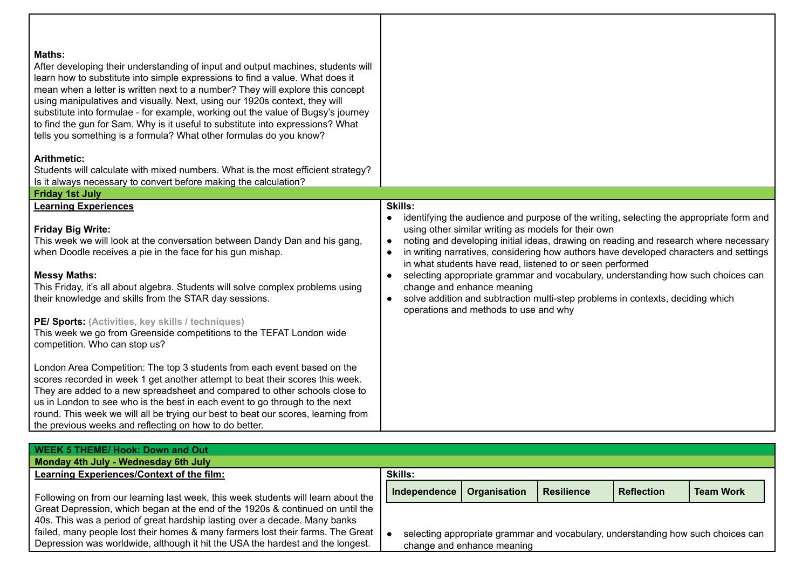| <b>Maths:</b><br>After developing their understanding of input and output machines, students will<br>learn how to substitute into simple expressions to find a value. What does it<br>mean when a letter is written next to a number? They will explore this concept<br>using manipulatives and visually. Next, using our 1920s context, they will<br>substitute into formulae - for example, working out the value of Bugsy's journey<br>to find the gun for Sam. Why is it useful to substitute into expressions? What<br>tells you something is a formula? What other formulas do you know?<br><b>Arithmetic:</b><br>Students will calculate with mixed numbers. What is the most efficient strategy?<br>Is it always necessary to convert before making the calculation?                                                                                                                                                                                                    |                                                                                                                                                                                                                                                                                                                                                                                                                                                                                                                                                                                                                                                                     |
|---------------------------------------------------------------------------------------------------------------------------------------------------------------------------------------------------------------------------------------------------------------------------------------------------------------------------------------------------------------------------------------------------------------------------------------------------------------------------------------------------------------------------------------------------------------------------------------------------------------------------------------------------------------------------------------------------------------------------------------------------------------------------------------------------------------------------------------------------------------------------------------------------------------------------------------------------------------------------------|---------------------------------------------------------------------------------------------------------------------------------------------------------------------------------------------------------------------------------------------------------------------------------------------------------------------------------------------------------------------------------------------------------------------------------------------------------------------------------------------------------------------------------------------------------------------------------------------------------------------------------------------------------------------|
| <b>Friday 1st July</b><br><b>Learning Experiences</b>                                                                                                                                                                                                                                                                                                                                                                                                                                                                                                                                                                                                                                                                                                                                                                                                                                                                                                                           | Skills:                                                                                                                                                                                                                                                                                                                                                                                                                                                                                                                                                                                                                                                             |
| <b>Friday Big Write:</b><br>This week we will look at the conversation between Dandy Dan and his gang,<br>when Doodle receives a pie in the face for his gun mishap.<br><b>Messy Maths:</b><br>This Friday, it's all about algebra. Students will solve complex problems using<br>their knowledge and skills from the STAR day sessions.<br>PE/ Sports: (Activities, key skills / techniques)<br>This week we go from Greenside competitions to the TEFAT London wide<br>competition. Who can stop us?<br>London Area Competition: The top 3 students from each event based on the<br>scores recorded in week 1 get another attempt to beat their scores this week.<br>They are added to a new spreadsheet and compared to other schools close to<br>us in London to see who is the best in each event to go through to the next<br>round. This week we will all be trying our best to beat our scores, learning from<br>the previous weeks and reflecting on how to do better. | identifying the audience and purpose of the writing, selecting the appropriate form and<br>$\bullet$<br>using other similar writing as models for their own<br>noting and developing initial ideas, drawing on reading and research where necessary<br>in writing narratives, considering how authors have developed characters and settings<br>in what students have read, listened to or seen performed<br>selecting appropriate grammar and vocabulary, understanding how such choices can<br>$\bullet$<br>change and enhance meaning<br>solve addition and subtraction multi-step problems in contexts, deciding which<br>operations and methods to use and why |
| <b>WEEK 5 THEME/ Hook: Down and Out</b><br>Monday 4th July - Wednesday 6th July                                                                                                                                                                                                                                                                                                                                                                                                                                                                                                                                                                                                                                                                                                                                                                                                                                                                                                 |                                                                                                                                                                                                                                                                                                                                                                                                                                                                                                                                                                                                                                                                     |

| Monday 4th July - Wednesday 6th July                                              |                     |                            |                   |                   |                                                                                  |
|-----------------------------------------------------------------------------------|---------------------|----------------------------|-------------------|-------------------|----------------------------------------------------------------------------------|
| Learning Experiences/Context of the film:                                         | <b>Skills:</b>      |                            |                   |                   |                                                                                  |
| Following on from our learning last week, this week students will learn about the | <b>Independence</b> | Organisation               | <b>Resilience</b> | <b>Reflection</b> | <b>Team Work</b>                                                                 |
| Great Depression, which began at the end of the 1920s & continued on until the    |                     |                            |                   |                   |                                                                                  |
| 40s. This was a period of great hardship lasting over a decade. Many banks        |                     |                            |                   |                   |                                                                                  |
| failed, many people lost their homes & many farmers lost their farms. The Great   |                     |                            |                   |                   | selecting appropriate grammar and vocabulary, understanding how such choices can |
| Depression was worldwide, although it hit the USA the hardest and the longest.    |                     | change and enhance meaning |                   |                   |                                                                                  |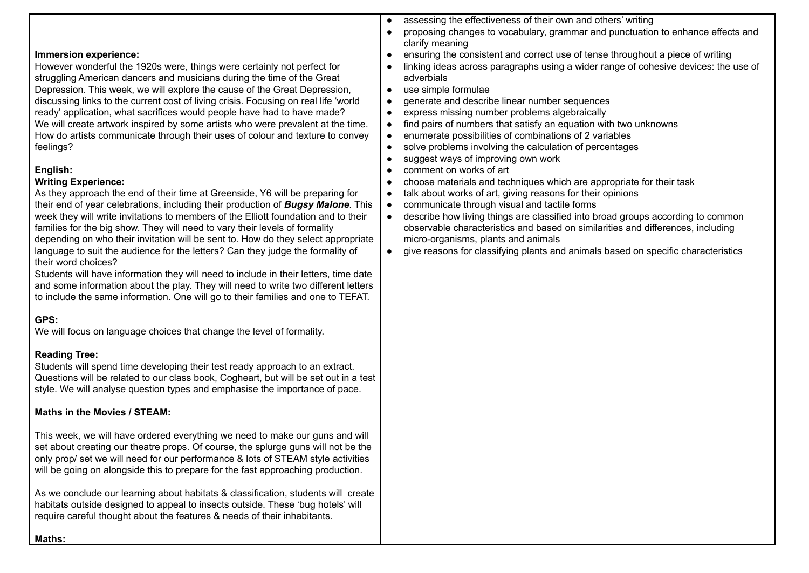#### **Immersion experience:**

However wonderful the 1920s were, things were certainly not perfect for struggling American dancers and musicians during the time of the Great Depression. This week, we will explore the cause of the Great Depression, discussing links to the current cost of living crisis. Focusing on real life 'world ready' application, what sacrifices would people have had to have made? We will create artwork inspired by some artists who were prevalent at the time. How do artists communicate through their uses of colour and texture to convey feelings?

#### **English:**

## **Writing Experience:**

As they approach the end of their time at Greenside, Y6 will be preparing for their end of year celebrations, including their production of *Bugsy Malone*. This week they will write invitations to members of the Elliott foundation and to their families for the big show. They will need to vary their levels of formality depending on who their invitation will be sent to. How do they select appropriate language to suit the audience for the letters? Can they judge the formality of their word choices?

Students will have information they will need to include in their letters, time date and some information about the play. They will need to write two different letters to include the same information. One will go to their families and one to TEFAT.

## **GPS:**

We will focus on language choices that change the level of formality.

## **Reading Tree:**

Students will spend time developing their test ready approach to an extract. Questions will be related to our class book, Cogheart, but will be set out in a test style. We will analyse question types and emphasise the importance of pace.

#### **Maths in the Movies / STEAM:**

This week, we will have ordered everything we need to make our guns and will set about creating our theatre props. Of course, the splurge guns will not be the only prop/ set we will need for our performance & lots of STEAM style activities will be going on alongside this to prepare for the fast approaching production.

As we conclude our learning about habitats & classification, students will create habitats outside designed to appeal to insects outside. These 'bug hotels' will require careful thought about the features & needs of their inhabitants.

- assessing the effectiveness of their own and others' writing
- proposing changes to vocabulary, grammar and punctuation to enhance effects and clarify meaning
- ensuring the consistent and correct use of tense throughout a piece of writing
- linking ideas across paragraphs using a wider range of cohesive devices: the use of adverbials
- use simple formulae
- aenerate and describe linear number sequences
- express missing number problems algebraically
- find pairs of numbers that satisfy an equation with two unknowns
- enumerate possibilities of combinations of 2 variables
- solve problems involving the calculation of percentages
- suggest ways of improving own work
- comment on works of art
- choose materials and techniques which are appropriate for their task
- talk about works of art, giving reasons for their opinions
- communicate through visual and tactile forms
- describe how living things are classified into broad groups according to common observable characteristics and based on similarities and differences, including micro-organisms, plants and animals
- give reasons for classifying plants and animals based on specific characteristics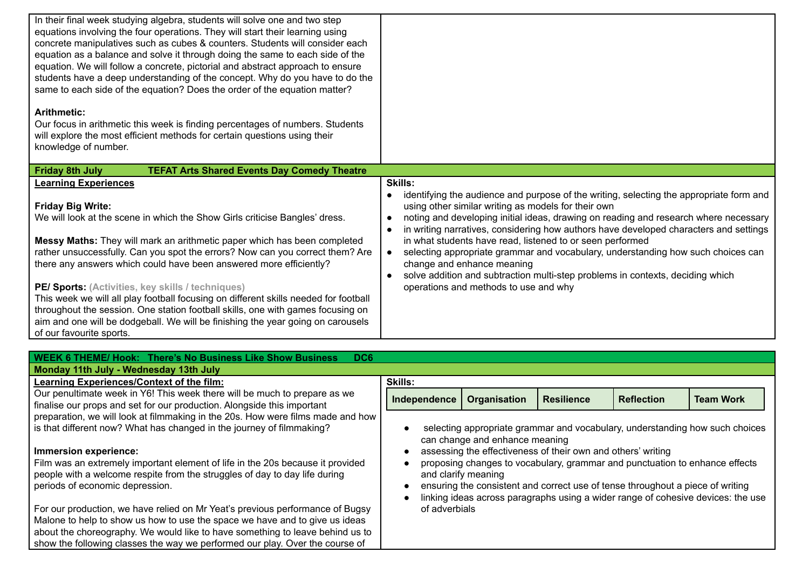| In their final week studying algebra, students will solve one and two step<br>equations involving the four operations. They will start their learning using<br>concrete manipulatives such as cubes & counters. Students will consider each<br>equation as a balance and solve it through doing the same to each side of the<br>equation. We will follow a concrete, pictorial and abstract approach to ensure<br>students have a deep understanding of the concept. Why do you have to do the<br>same to each side of the equation? Does the order of the equation matter?                                                                                                               |                                                                                                                                                                                                                                                                                                                                          |                                                                                                                                                                                                                                                                           |                   |                   |                                                                                                                                                                                                                                                                                                                                                              |
|-------------------------------------------------------------------------------------------------------------------------------------------------------------------------------------------------------------------------------------------------------------------------------------------------------------------------------------------------------------------------------------------------------------------------------------------------------------------------------------------------------------------------------------------------------------------------------------------------------------------------------------------------------------------------------------------|------------------------------------------------------------------------------------------------------------------------------------------------------------------------------------------------------------------------------------------------------------------------------------------------------------------------------------------|---------------------------------------------------------------------------------------------------------------------------------------------------------------------------------------------------------------------------------------------------------------------------|-------------------|-------------------|--------------------------------------------------------------------------------------------------------------------------------------------------------------------------------------------------------------------------------------------------------------------------------------------------------------------------------------------------------------|
| <b>Arithmetic:</b><br>Our focus in arithmetic this week is finding percentages of numbers. Students<br>will explore the most efficient methods for certain questions using their<br>knowledge of number.                                                                                                                                                                                                                                                                                                                                                                                                                                                                                  |                                                                                                                                                                                                                                                                                                                                          |                                                                                                                                                                                                                                                                           |                   |                   |                                                                                                                                                                                                                                                                                                                                                              |
| <b>Friday 8th July</b><br><b>TEFAT Arts Shared Events Day Comedy Theatre</b>                                                                                                                                                                                                                                                                                                                                                                                                                                                                                                                                                                                                              |                                                                                                                                                                                                                                                                                                                                          |                                                                                                                                                                                                                                                                           |                   |                   |                                                                                                                                                                                                                                                                                                                                                              |
| <b>Learning Experiences</b>                                                                                                                                                                                                                                                                                                                                                                                                                                                                                                                                                                                                                                                               | <b>Skills:</b>                                                                                                                                                                                                                                                                                                                           |                                                                                                                                                                                                                                                                           |                   |                   |                                                                                                                                                                                                                                                                                                                                                              |
| <b>Friday Big Write:</b><br>We will look at the scene in which the Show Girls criticise Bangles' dress.<br>Messy Maths: They will mark an arithmetic paper which has been completed<br>rather unsuccessfully. Can you spot the errors? Now can you correct them? Are<br>there any answers which could have been answered more efficiently?<br>PE/ Sports: (Activities, key skills / techniques)<br>This week we will all play football focusing on different skills needed for football<br>throughout the session. One station football skills, one with games focusing on<br>aim and one will be dodgeball. We will be finishing the year going on carousels<br>of our favourite sports. | $\bullet$<br>$\bullet$<br>$\bullet$<br>$\bullet$<br>$\bullet$                                                                                                                                                                                                                                                                            | using other similar writing as models for their own<br>in what students have read, listened to or seen performed<br>change and enhance meaning<br>solve addition and subtraction multi-step problems in contexts, deciding which<br>operations and methods to use and why |                   |                   | identifying the audience and purpose of the writing, selecting the appropriate form and<br>noting and developing initial ideas, drawing on reading and research where necessary<br>in writing narratives, considering how authors have developed characters and settings<br>selecting appropriate grammar and vocabulary, understanding how such choices can |
| <b>WEEK 6 THEME/ Hook: There's No Business Like Show Business</b><br>DC6                                                                                                                                                                                                                                                                                                                                                                                                                                                                                                                                                                                                                  |                                                                                                                                                                                                                                                                                                                                          |                                                                                                                                                                                                                                                                           |                   |                   |                                                                                                                                                                                                                                                                                                                                                              |
| Monday 11th July - Wednesday 13th July                                                                                                                                                                                                                                                                                                                                                                                                                                                                                                                                                                                                                                                    |                                                                                                                                                                                                                                                                                                                                          |                                                                                                                                                                                                                                                                           |                   |                   |                                                                                                                                                                                                                                                                                                                                                              |
| Learning Experiences/Context of the film:                                                                                                                                                                                                                                                                                                                                                                                                                                                                                                                                                                                                                                                 | <b>Skills:</b>                                                                                                                                                                                                                                                                                                                           |                                                                                                                                                                                                                                                                           |                   |                   |                                                                                                                                                                                                                                                                                                                                                              |
| Our penultimate week in Y6! This week there will be much to prepare as we<br>finalise our props and set for our production. Alongside this important                                                                                                                                                                                                                                                                                                                                                                                                                                                                                                                                      | Independence                                                                                                                                                                                                                                                                                                                             | Organisation                                                                                                                                                                                                                                                              | <b>Resilience</b> | <b>Reflection</b> | <b>Team Work</b>                                                                                                                                                                                                                                                                                                                                             |
| preparation, we will look at filmmaking in the 20s. How were films made and how<br>is that different now? What has changed in the journey of filmmaking?                                                                                                                                                                                                                                                                                                                                                                                                                                                                                                                                  | selecting appropriate grammar and vocabulary, understanding how such choices<br>can change and enhance meaning                                                                                                                                                                                                                           |                                                                                                                                                                                                                                                                           |                   |                   |                                                                                                                                                                                                                                                                                                                                                              |
| Immersion experience:<br>Film was an extremely important element of life in the 20s because it provided<br>people with a welcome respite from the struggles of day to day life during<br>periods of economic depression.                                                                                                                                                                                                                                                                                                                                                                                                                                                                  | assessing the effectiveness of their own and others' writing<br>proposing changes to vocabulary, grammar and punctuation to enhance effects<br>and clarify meaning<br>ensuring the consistent and correct use of tense throughout a piece of writing<br>linking ideas across paragraphs using a wider range of cohesive devices: the use |                                                                                                                                                                                                                                                                           |                   |                   |                                                                                                                                                                                                                                                                                                                                                              |
| For our production, we have relied on Mr Yeat's previous performance of Bugsy<br>Malone to help to show us how to use the space we have and to give us ideas                                                                                                                                                                                                                                                                                                                                                                                                                                                                                                                              | of adverbials                                                                                                                                                                                                                                                                                                                            |                                                                                                                                                                                                                                                                           |                   |                   |                                                                                                                                                                                                                                                                                                                                                              |

about the choreography. We would like to have something to leave behind us to show the following classes the way we performed our play. Over the course of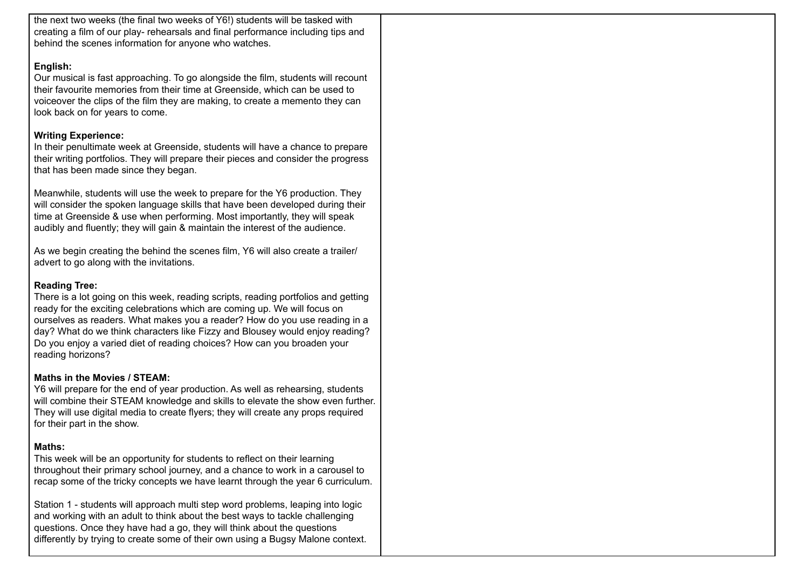the next two weeks (the final two weeks of Y6!) students will be tasked with creating a film of our play- rehearsals and final performance including tips and behind the scenes information for anyone who watches.

#### **English:**

Our musical is fast approaching. To go alongside the film, students will recount their favourite memories from their time at Greenside, which can be used to voiceover the clips of the film they are making, to create a memento they can look back on for years to come.

## **Writing Experience:**

In their penultimate week at Greenside, students will have a chance to prepare their writing portfolios. They will prepare their pieces and consider the progress that has been made since they began.

Meanwhile, students will use the week to prepare for the Y6 production. They will consider the spoken language skills that have been developed during their time at Greenside & use when performing. Most importantly, they will speak audibly and fluently; they will gain & maintain the interest of the audience.

As we begin creating the behind the scenes film, Y6 will also create a trailer/ advert to go along with the invitations.

## **Reading Tree:**

There is a lot going on this week, reading scripts, reading portfolios and getting ready for the exciting celebrations which are coming up. We will focus on ourselves as readers. What makes you a reader? How do you use reading in a day? What do we think characters like Fizzy and Blousey would enjoy reading? Do you enjoy a varied diet of reading choices? How can you broaden your reading horizons?

## **Maths in the Movies / STEAM:**

Y6 will prepare for the end of year production. As well as rehearsing, students will combine their STEAM knowledge and skills to elevate the show even further. They will use digital media to create flyers; they will create any props required for their part in the show.

## **Maths:**

This week will be an opportunity for students to reflect on their learning throughout their primary school journey, and a chance to work in a carousel to recap some of the tricky concepts we have learnt through the year 6 curriculum.

Station 1 - students will approach multi step word problems, leaping into logic and working with an adult to think about the best ways to tackle challenging questions. Once they have had a go, they will think about the questions differently by trying to create some of their own using a Bugsy Malone context.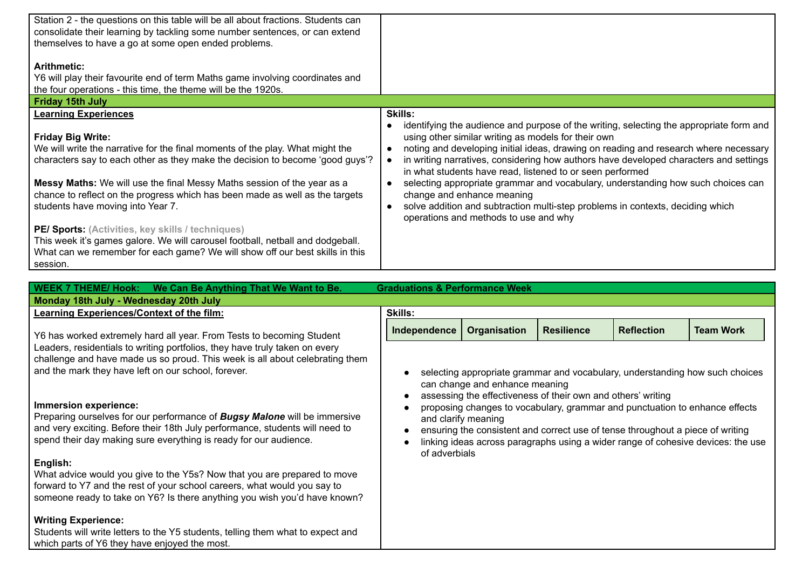| Station 2 - the questions on this table will be all about fractions. Students can<br>consolidate their learning by tackling some number sentences, or can extend<br>themselves to have a go at some open ended problems.<br><b>Arithmetic:</b>                                                                                                        |                                                                                                                                                                                                                                                                                                                                                                                                                                                                                                                |
|-------------------------------------------------------------------------------------------------------------------------------------------------------------------------------------------------------------------------------------------------------------------------------------------------------------------------------------------------------|----------------------------------------------------------------------------------------------------------------------------------------------------------------------------------------------------------------------------------------------------------------------------------------------------------------------------------------------------------------------------------------------------------------------------------------------------------------------------------------------------------------|
| Y6 will play their favourite end of term Maths game involving coordinates and                                                                                                                                                                                                                                                                         |                                                                                                                                                                                                                                                                                                                                                                                                                                                                                                                |
| the four operations - this time, the theme will be the 1920s.                                                                                                                                                                                                                                                                                         |                                                                                                                                                                                                                                                                                                                                                                                                                                                                                                                |
| <b>Friday 15th July</b>                                                                                                                                                                                                                                                                                                                               |                                                                                                                                                                                                                                                                                                                                                                                                                                                                                                                |
| <b>Learning Experiences</b>                                                                                                                                                                                                                                                                                                                           | <b>Skills:</b>                                                                                                                                                                                                                                                                                                                                                                                                                                                                                                 |
| <b>Friday Big Write:</b><br>We will write the narrative for the final moments of the play. What might the<br>characters say to each other as they make the decision to become 'good guys'?<br>Messy Maths: We will use the final Messy Maths session of the year as a<br>chance to reflect on the progress which has been made as well as the targets | identifying the audience and purpose of the writing, selecting the appropriate form and<br>using other similar writing as models for their own<br>noting and developing initial ideas, drawing on reading and research where necessary<br>in writing narratives, considering how authors have developed characters and settings<br>in what students have read, listened to or seen performed<br>selecting appropriate grammar and vocabulary, understanding how such choices can<br>change and enhance meaning |
| students have moving into Year 7.<br>PE/ Sports: (Activities, key skills / techniques)<br>This week it's games galore. We will carousel football, netball and dodgeball.<br>What can we remember for each game? We will show off our best skills in this<br>session.                                                                                  | solve addition and subtraction multi-step problems in contexts, deciding which<br>operations and methods to use and why                                                                                                                                                                                                                                                                                                                                                                                        |

| <b>Graduations &amp; Performance Week</b><br>WEEK 7 THEME/ Hook: We Can Be Anything That We Want to Be.                                                                                                                                                        |                                                                                                                                                                                                                                                                                                                                                                                                                                                                             |              |                   |                   |                  |
|----------------------------------------------------------------------------------------------------------------------------------------------------------------------------------------------------------------------------------------------------------------|-----------------------------------------------------------------------------------------------------------------------------------------------------------------------------------------------------------------------------------------------------------------------------------------------------------------------------------------------------------------------------------------------------------------------------------------------------------------------------|--------------|-------------------|-------------------|------------------|
| Monday 18th July - Wednesday 20th July                                                                                                                                                                                                                         |                                                                                                                                                                                                                                                                                                                                                                                                                                                                             |              |                   |                   |                  |
| Learning Experiences/Context of the film:                                                                                                                                                                                                                      | <b>Skills:</b>                                                                                                                                                                                                                                                                                                                                                                                                                                                              |              |                   |                   |                  |
| Y6 has worked extremely hard all year. From Tests to becoming Student                                                                                                                                                                                          | Independence                                                                                                                                                                                                                                                                                                                                                                                                                                                                | Organisation | <b>Resilience</b> | <b>Reflection</b> | <b>Team Work</b> |
| Leaders, residentials to writing portfolios, they have truly taken on every<br>challenge and have made us so proud. This week is all about celebrating them<br>and the mark they have left on our school, forever.                                             | selecting appropriate grammar and vocabulary, understanding how such choices<br>can change and enhance meaning<br>assessing the effectiveness of their own and others' writing<br>proposing changes to vocabulary, grammar and punctuation to enhance effects<br>and clarify meaning<br>ensuring the consistent and correct use of tense throughout a piece of writing<br>linking ideas across paragraphs using a wider range of cohesive devices: the use<br>of adverbials |              |                   |                   |                  |
| Immersion experience:<br>Preparing ourselves for our performance of <b>Bugsy Malone</b> will be immersive<br>and very exciting. Before their 18th July performance, students will need to<br>spend their day making sure everything is ready for our audience. |                                                                                                                                                                                                                                                                                                                                                                                                                                                                             |              |                   |                   |                  |
| English:<br>What advice would you give to the Y5s? Now that you are prepared to move<br>forward to Y7 and the rest of your school careers, what would you say to<br>someone ready to take on Y6? Is there anything you wish you'd have known?                  |                                                                                                                                                                                                                                                                                                                                                                                                                                                                             |              |                   |                   |                  |
| <b>Writing Experience:</b><br>Students will write letters to the Y5 students, telling them what to expect and<br>which parts of Y6 they have enjoyed the most.                                                                                                 |                                                                                                                                                                                                                                                                                                                                                                                                                                                                             |              |                   |                   |                  |